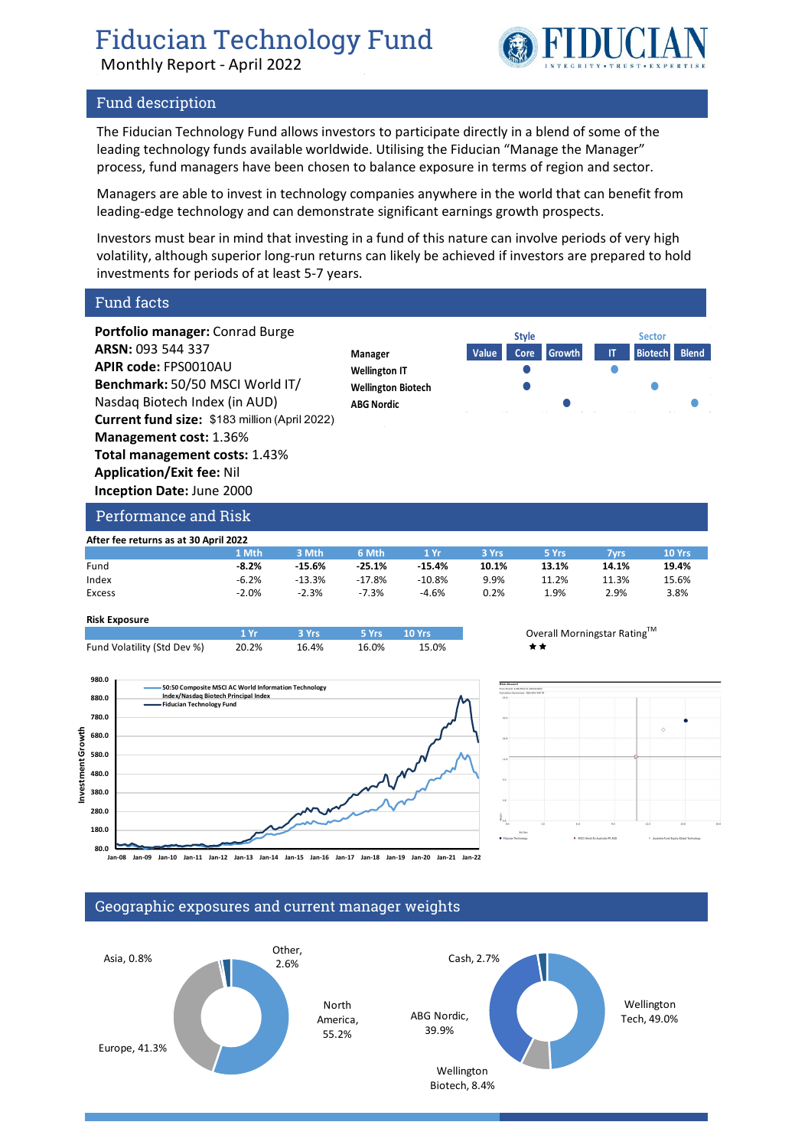## Fiducian Technology Fund

Monthly Report - April 2022

# FIDUCIA

#### Fund description

The Fiducian Technology Fund allows investors to participate directly in a blend of some of the leading technology funds available worldwide. Utilising the Fiducian "Manage the Manager" process, fund managers have been chosen to balance exposure in terms of region and sector.

Managers are able to invest in technology companies anywhere in the world that can benefit from leading-edge technology and can demonstrate significant earnings growth prospects.

Investors must bear in mind that investing in a fund of this nature can involve periods of very high volatility, although superior long-run returns can likely be achieved if investors are prepared to hold investments for periods of at least 5-7 years.

Fund facts

**Portfolio manager:** Conrad Burge **ARSN:** 093 544 337 **APIR code:** FPS0010AU **Benchmark:** 50/50 MSCI World IT/ Nasdaq Biotech Index (in AUD) **Current fund size:** \$183 million (April 2022) **Management cost:** 1.36% **Total management costs:** 1.43% **Application/Exit fee:** Nil **Inception Date:** June 2000



### Performance and Risk

| After fee returns as at 30 April 2022 |         |          |          |          |       |       |       |        |  |  |  |
|---------------------------------------|---------|----------|----------|----------|-------|-------|-------|--------|--|--|--|
|                                       | 1 Mth   | 3 Mth    | 6 Mth    | 1 Yr     | 3 Yrs | 5 Yrs | 7vrs  | 10 Yrs |  |  |  |
| Fund                                  | $-8.2%$ | $-15.6%$ | $-25.1%$ | $-15.4%$ | 10.1% | 13.1% | 14.1% | 19.4%  |  |  |  |
| Index                                 | $-6.2%$ | $-13.3%$ | $-17.8%$ | -10.8%   | 9.9%  | 11.2% | 11.3% | 15.6%  |  |  |  |
| Excess                                | $-2.0%$ | $-2.3%$  | $-7.3%$  | $-4.6%$  | 0.2%  | 1.9%  | 2.9%  | 3.8%   |  |  |  |

#### **Risk Exposure**

|                             | 1 Vr. | $\sim$ 3 Yrs | 5 Yrs 10 Yrs |       | Over |
|-----------------------------|-------|--------------|--------------|-------|------|
| Fund Volatility (Std Dev %) | 20.2% | 16.4%        | 16.0%        | 15.0% | **   |







#### Geographic exposures and current manager weights